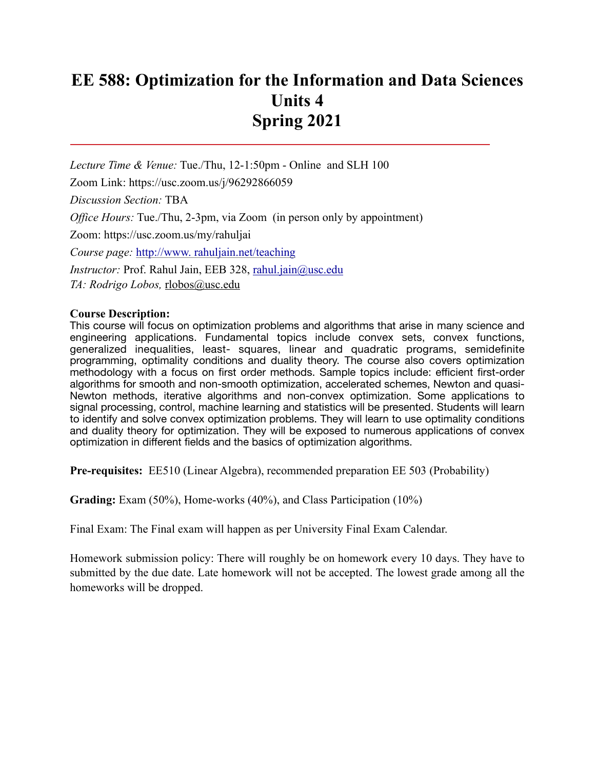# **EE 588: Optimization for the Information and Data Sciences Units 4 Spring 2021**

*Lecture Time & Venue:* Tue./Thu, 12-1:50pm - Online and SLH 100 Zoom Link: https://usc.zoom.us/j/96292866059 *Discussion Section:* TBA *Office Hours:* Tue./Thu, 2-3pm, via Zoom (in person only by appointment) Zoom: https://usc.zoom.us/my/rahuljai *Course page:* [http://www. rahuljain.net/teaching](http://www.%20rahuljain.net/teaching) *Instructor:* Prof. Rahul Jain, EEB 328, [rahul.jain@usc.edu](mailto:rahul.jain@usc.edu)

*TA: Rodrigo Lobos,* [rlobos@usc.edu](mailto:rlobos@usc.edu)

# **Course Description:**

This course will focus on optimization problems and algorithms that arise in many science and engineering applications. Fundamental topics include convex sets, convex functions, generalized inequalities, least- squares, linear and quadratic programs, semidefinite programming, optimality conditions and duality theory. The course also covers optimization methodology with a focus on first order methods. Sample topics include: efficient first-order algorithms for smooth and non-smooth optimization, accelerated schemes, Newton and quasi-Newton methods, iterative algorithms and non-convex optimization. Some applications to signal processing, control, machine learning and statistics will be presented. Students will learn to identify and solve convex optimization problems. They will learn to use optimality conditions and duality theory for optimization. They will be exposed to numerous applications of convex optimization in different fields and the basics of optimization algorithms.

**Pre-requisites:** EE510 (Linear Algebra), recommended preparation EE 503 (Probability)

Grading: Exam (50%), Home-works (40%), and Class Participation (10%)

Final Exam: The Final exam will happen as per University Final Exam Calendar.

Homework submission policy: There will roughly be on homework every 10 days. They have to submitted by the due date. Late homework will not be accepted. The lowest grade among all the homeworks will be dropped.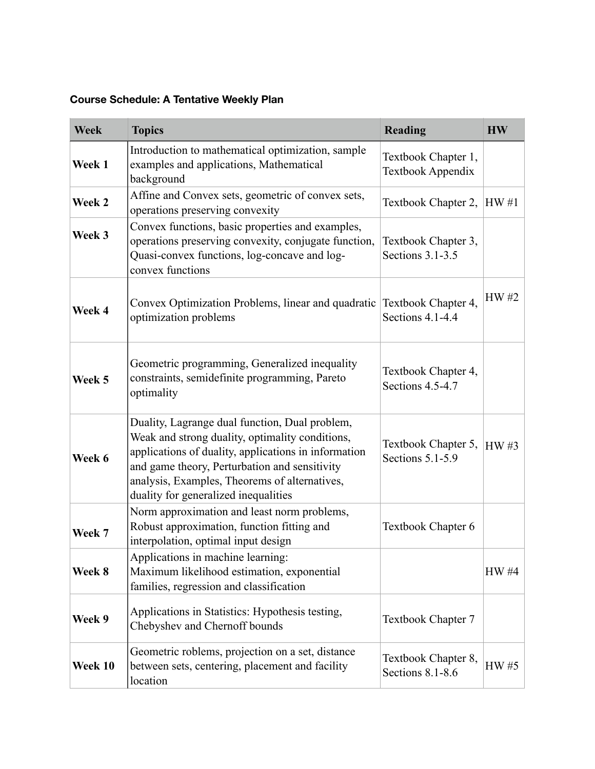**Course Schedule: A Tentative Weekly Plan** 

| <b>Week</b> | <b>Topics</b>                                                                                                                                                                                                                                                                                       | <b>Reading</b>                              | <b>HW</b>   |
|-------------|-----------------------------------------------------------------------------------------------------------------------------------------------------------------------------------------------------------------------------------------------------------------------------------------------------|---------------------------------------------|-------------|
| Week 1      | Introduction to mathematical optimization, sample<br>examples and applications, Mathematical<br>background                                                                                                                                                                                          | Textbook Chapter 1,<br>Textbook Appendix    |             |
| Week 2      | Affine and Convex sets, geometric of convex sets,<br>operations preserving convexity                                                                                                                                                                                                                | Textbook Chapter 2, $ HW#1 $                |             |
| Week 3      | Convex functions, basic properties and examples,<br>operations preserving convexity, conjugate function,<br>Quasi-convex functions, log-concave and log-<br>convex functions                                                                                                                        | Textbook Chapter 3,<br>Sections $3.1 - 3.5$ |             |
| Week 4      | Convex Optimization Problems, linear and quadratic<br>optimization problems                                                                                                                                                                                                                         | Textbook Chapter 4,<br>Sections 4.1-4.4     | HW #2       |
| Week 5      | Geometric programming, Generalized inequality<br>constraints, semidefinite programming, Pareto<br>optimality                                                                                                                                                                                        | Textbook Chapter 4,<br>Sections 4.5-4.7     |             |
| Week 6      | Duality, Lagrange dual function, Dual problem,<br>Weak and strong duality, optimality conditions,<br>applications of duality, applications in information<br>and game theory, Perturbation and sensitivity<br>analysis, Examples, Theorems of alternatives,<br>duality for generalized inequalities | Textbook Chapter 5,<br>Sections 5.1-5.9     | <b>HW#3</b> |
| Week 7      | Norm approximation and least norm problems,<br>Robust approximation, function fitting and<br>interpolation, optimal input design                                                                                                                                                                    | Textbook Chapter 6                          |             |
| Week 8      | Applications in machine learning:<br>Maximum likelihood estimation, exponential<br>families, regression and classification                                                                                                                                                                          |                                             | HW #4       |
| Week 9      | Applications in Statistics: Hypothesis testing,<br>Chebyshev and Chernoff bounds                                                                                                                                                                                                                    | Textbook Chapter 7                          |             |
| Week 10     | Geometric roblems, projection on a set, distance<br>between sets, centering, placement and facility<br>location                                                                                                                                                                                     | Textbook Chapter 8,<br>Sections 8.1-8.6     | HW #5       |